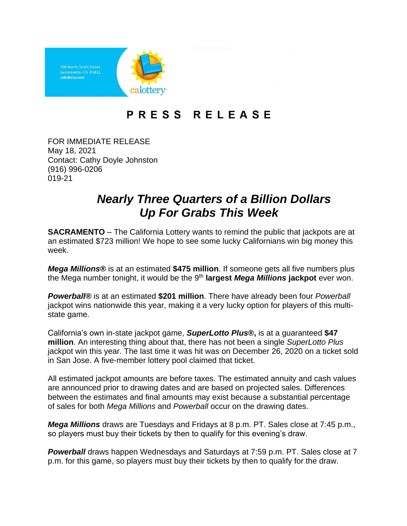

## PRESS RELEASE

FOR IMMEDIATE RELEASE May 18, 2021 Contact: Cathy Doyle Johnston (916) 996-0206 019-21

## *Nearly Three Quarters of a Billion Dollars Up For Grabs This Week*

**SACRAMENTO** – The California Lottery wants to remind the public that jackpots are at an estimated \$723 million! We hope to see some lucky Californians win big money this week.

*Mega Millions***®** is at an estimated **\$475 million**. If someone gets all five numbers plus the Mega number tonight, it would be the 9<sup>th</sup> largest *Mega Millions* jackpot ever won.

*Powerball®* is at an estimated **\$201 million**. There have already been four *Powerball* jackpot wins nationwide this year, making it a very lucky option for players of this multistate game.

California's own in-state jackpot game, *SuperLotto Plus***®,** is at a guaranteed **\$47 million**. An interesting thing about that, there has not been a single *SuperLotto Plus* jackpot win this year. The last time it was hit was on December 26, 2020 on a ticket sold in San Jose. A five-member lottery pool claimed that ticket.

All estimated jackpot amounts are before taxes. The estimated annuity and cash values are announced prior to drawing dates and are based on projected sales. Differences between the estimates and final amounts may exist because a substantial percentage of sales for both *Mega Millions* and *Powerball* occur on the drawing dates.

*Mega Millions* draws are Tuesdays and Fridays at 8 p.m. PT. Sales close at 7:45 p.m., so players must buy their tickets by then to qualify for this evening's draw.

**Powerball** draws happen Wednesdays and Saturdays at 7:59 p.m. PT. Sales close at 7 p.m. for this game, so players must buy their tickets by then to qualify for the draw.